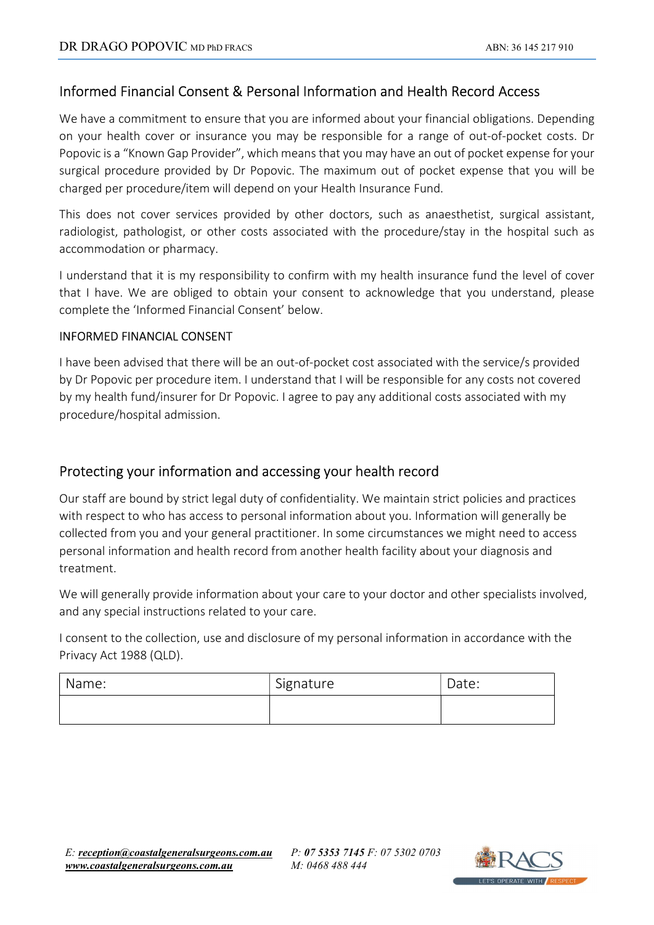## Informed Financial Consent & Personal Information and Health Record Access

We have a commitment to ensure that you are informed about your financial obligations. Depending on your health cover or insurance you may be responsible for a range of out-of-pocket costs. Dr Popovic is a "Known Gap Provider", which means that you may have an out of pocket expense for your surgical procedure provided by Dr Popovic. The maximum out of pocket expense that you will be charged per procedure/item will depend on your Health Insurance Fund.

This does not cover services provided by other doctors, such as anaesthetist, surgical assistant, radiologist, pathologist, or other costs associated with the procedure/stay in the hospital such as accommodation or pharmacy.

I understand that it is my responsibility to confirm with my health insurance fund the level of cover that I have. We are obliged to obtain your consent to acknowledge that you understand, please complete the 'Informed Financial Consent' below.

## INFORMED FINANCIAL CONSENT

I have been advised that there will be an out-of-pocket cost associated with the service/s provided by Dr Popovic per procedure item. I understand that I will be responsible for any costs not covered by my health fund/insurer for Dr Popovic. I agree to pay any additional costs associated with my procedure/hospital admission.

## Protecting your information and accessing your health record

Our staff are bound by strict legal duty of confidentiality. We maintain strict policies and practices with respect to who has access to personal information about you. Information will generally be collected from you and your general practitioner. In some circumstances we might need to access personal information and health record from another health facility about your diagnosis and treatment.

We will generally provide information about your care to your doctor and other specialists involved, and any special instructions related to your care.

I consent to the collection, use and disclosure of my personal information in accordance with the Privacy Act 1988 (QLD).

| Name: | Signature | Date: |
|-------|-----------|-------|
|       |           |       |

P: 07 5353 7145 F: 07 5302 0703 M: 0468 488 444